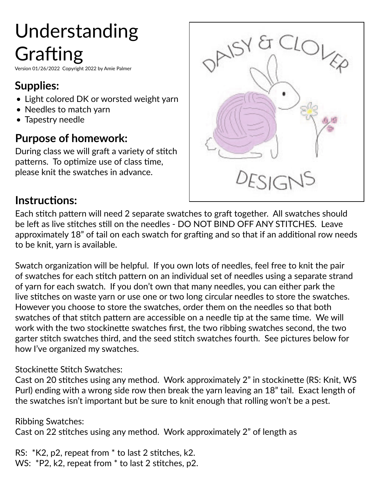# Understanding Grafting

Version 01/26/2022 Copyright 2022 by Amie Palmer

## **Supplies:**

- Light colored DK or worsted weight yarn
- Needles to match varn
- Tapestry needle

### **Purpose of homework:**

During class we will graft a variety of stitch patterns. To optimize use of class time, please knit the swatches in advance.



#### **Instructions:**

Each stitch pattern will need 2 separate swatches to graft together. All swatches should be left as live stitches still on the needles - DO NOT BIND OFF ANY STITCHES. Leave approximately 18" of tail on each swatch for grafting and so that if an additional row needs to be knit, yarn is available.

Swatch organization will be helpful. If you own lots of needles, feel free to knit the pair of swatches for each stitch pattern on an individual set of needles using a separate strand of yarn for each swatch. If you don't own that many needles, you can either park the live stitches on waste yarn or use one or two long circular needles to store the swatches. However you choose to store the swatches, order them on the needles so that both swatches of that stitch pattern are accessible on a needle tip at the same time. We will work with the two stockinette swatches first, the two ribbing swatches second, the two garter stitch swatches third, and the seed stitch swatches fourth. See pictures below for how I've organized my swatches.

#### Stockinette Stitch Swatches:

Cast on 20 stitches using any method. Work approximately 2" in stockinette (RS: Knit, WS Purl) ending with a wrong side row then break the yarn leaving an 18" tail. Exact length of the swatches isn't important but be sure to knit enough that rolling won't be a pest.

Ribbing Swatches: Cast on 22 stitches using any method. Work approximately 2" of length as

RS: \*K2, p2, repeat from \* to last 2 stitches, k2. WS: \*P2, k2, repeat from \* to last 2 stitches, p2.